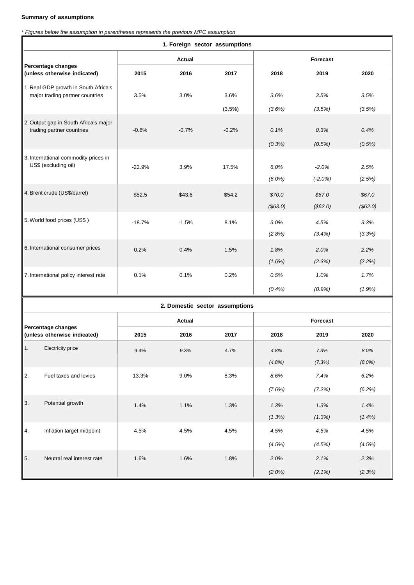## **Summary of assumptions**

*\* Figures below the assumption in parentheses represents the previous MPC assumption*

| 1. Foreign sector assumptions                                           |  |               |         |         |           |           |           |
|-------------------------------------------------------------------------|--|---------------|---------|---------|-----------|-----------|-----------|
|                                                                         |  | Actual        |         |         | Forecast  |           |           |
| Percentage changes<br>(unless otherwise indicated)                      |  | 2015          | 2016    | 2017    | 2018      | 2019      | 2020      |
| 1. Real GDP growth in South Africa's<br>major trading partner countries |  |               |         |         |           |           |           |
|                                                                         |  | 3.5%          | 3.0%    | 3.6%    | 3.6%      | 3.5%      | 3.5%      |
|                                                                         |  |               |         | (3.5%)  | (3.6%)    | (3.5%)    | (3.5%)    |
| 2. Output gap in South Africa's major<br>trading partner countries      |  | $-0.8%$       | $-0.7%$ | $-0.2%$ | 0.1%      | 0.3%      | 0.4%      |
|                                                                         |  |               |         |         | (0.3%)    | (0.5%)    | (0.5%)    |
| 3. International commodity prices in                                    |  |               |         |         |           |           |           |
| US\$ (excluding oil)                                                    |  | $-22.9%$      | 3.9%    | 17.5%   | 6.0%      | $-2.0%$   | 2.5%      |
|                                                                         |  |               |         |         | $(6.0\%)$ | $(-2.0%)$ | (2.5%)    |
| 4. Brent crude (US\$/barrel)                                            |  | \$52.5        | \$43.6  | \$54.2  | \$70.0    | \$67.0    | \$67.0    |
|                                                                         |  |               |         |         | (\$63.0)  | (\$62.0)  | (\$62.0)  |
| 5. World food prices (US\$)                                             |  | $-18.7%$      | $-1.5%$ | 8.1%    | 3.0%      | 4.5%      | 3.3%      |
|                                                                         |  |               |         |         | (2.8%)    | (3.4%)    | (3.3%)    |
| 6. International consumer prices                                        |  | 0.2%          | 0.4%    | 1.5%    | 1.8%      | 2.0%      | 2.2%      |
|                                                                         |  |               |         |         | (1.6%)    | (2.3%)    | (2.2%)    |
| 7. International policy interest rate                                   |  | 0.1%          | 0.1%    | 0.2%    | 0.5%      | 1.0%      | 1.7%      |
|                                                                         |  |               |         |         | $(0.4\%)$ | (0.9%     | (1.9%)    |
| 2. Domestic sector assumptions                                          |  |               |         |         |           |           |           |
| Percentage changes<br>(unless otherwise indicated)                      |  | <b>Actual</b> |         |         | Forecast  |           |           |
|                                                                         |  | 2015          | 2016    | 2017    | 2018      | 2019      | 2020      |
| Electricity price                                                       |  | 9.4%          | 9.3%    | 4.7%    | 4.8%      | 7.3%      | 8.0%      |
|                                                                         |  |               |         |         | (4.8%)    | (7.3%)    | $(8.0\%)$ |
| 2.<br>Fuel taxes and levies                                             |  | 13.3%         | 9.0%    | 8.3%    | 8.6%      | 7.4%      | 6.2%      |
|                                                                         |  |               |         |         | (7.6%)    | (7.2%)    | (6.2%)    |
| Potential growth                                                        |  |               |         |         |           |           |           |
| 3.                                                                      |  | 1.4%          | 1.1%    | 1.3%    | 1.3%      | 1.3%      | 1.4%      |
|                                                                         |  |               |         |         | (1.3%)    | (1.3%)    | $(1.4\%)$ |
| Inflation target midpoint<br>4.                                         |  | 4.5%          | 4.5%    | 4.5%    | 4.5%      | 4.5%      | 4.5%      |
|                                                                         |  |               |         |         | (4.5%)    | (4.5%)    | (4.5%)    |
| Neutral real interest rate<br>5.                                        |  | 1.6%          | 1.6%    | 1.8%    | 2.0%      | 2.1%      | 2.3%      |
|                                                                         |  |               |         |         | (2.0%)    | (2.1%)    | (2.3%)    |